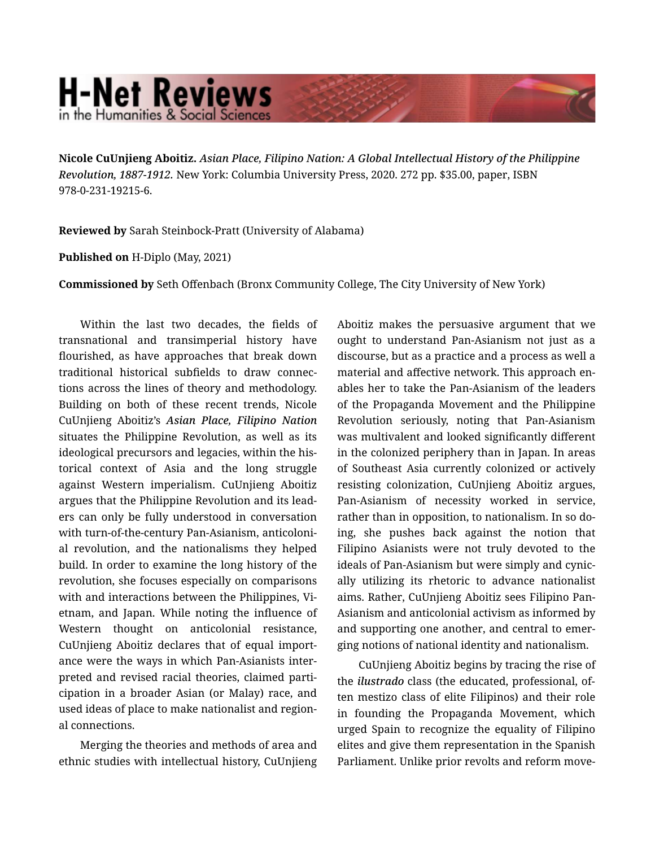## **H-Net Reviews** in the Humanities & Social Scienc

Nicole CuUnjieng Aboitiz. *Asian Place, Filipino Nation: A Global Intellectual History of the Philippine Revolution, 1887-1912.* New York: Columbia University Press, 2020. 272 pp. \$35.00, paper, ISBN 978-0-231-19215-6.

Reviewed by Sarah Steinbock-Pratt (University of Alabama)

## Published on H-Diplo (May, 2021)

Commissioned by Seth Offenbach (Bronx Community College, The City University of New York)

Within the last two decades, the fields of transnational and transimperial history have flourished, as have approaches that break down traditional historical subfields to draw connec‐ tions across the lines of theory and methodology. Building on both of these recent trends, Nicole CuUnjieng Aboitiz's *Asian Place, Filipino Nation* situates the Philippine Revolution, as well as its ideological precursors and legacies, within the his‐ torical context of Asia and the long struggle against Western imperialism. CuUnjieng Aboitiz argues that the Philippine Revolution and its lead‐ ers can only be fully understood in conversation with turn-of-the-century Pan-Asianism, anticoloni‐ al revolution, and the nationalisms they helped build. In order to examine the long history of the revolution, she focuses especially on comparisons with and interactions between the Philippines, Vietnam, and Japan. While noting the influence of Western thought on anticolonial resistance, CuUnjieng Aboitiz declares that of equal import‐ ance were the ways in which Pan-Asianists inter‐ preted and revised racial theories, claimed parti‐ cipation in a broader Asian (or Malay) race, and used ideas of place to make nationalist and region‐ al connections.

Merging the theories and methods of area and ethnic studies with intellectual history, CuUnjieng Aboitiz makes the persuasive argument that we ought to understand Pan-Asianism not just as a discourse, but as a practice and a process as well a material and affective network. This approach en‐ ables her to take the Pan-Asianism of the leaders of the Propaganda Movement and the Philippine Revolution seriously, noting that Pan-Asianism was multivalent and looked significantly different in the colonized periphery than in Japan. In areas of Southeast Asia currently colonized or actively resisting colonization, CuUnjieng Aboitiz argues, Pan-Asianism of necessity worked in service, rather than in opposition, to nationalism. In so do‐ ing, she pushes back against the notion that Filipino Asianists were not truly devoted to the ideals of Pan-Asianism but were simply and cynic‐ ally utilizing its rhetoric to advance nationalist aims. Rather, CuUnjieng Aboitiz sees Filipino Pan-Asianism and anticolonial activism as informed by and supporting one another, and central to emer‐ ging notions of national identity and nationalism.

CuUnjieng Aboitiz begins by tracing the rise of the *ilustrado* class (the educated, professional, of‐ ten mestizo class of elite Filipinos) and their role in founding the Propaganda Movement, which urged Spain to recognize the equality of Filipino elites and give them representation in the Spanish Parliament. Unlike prior revolts and reform move‐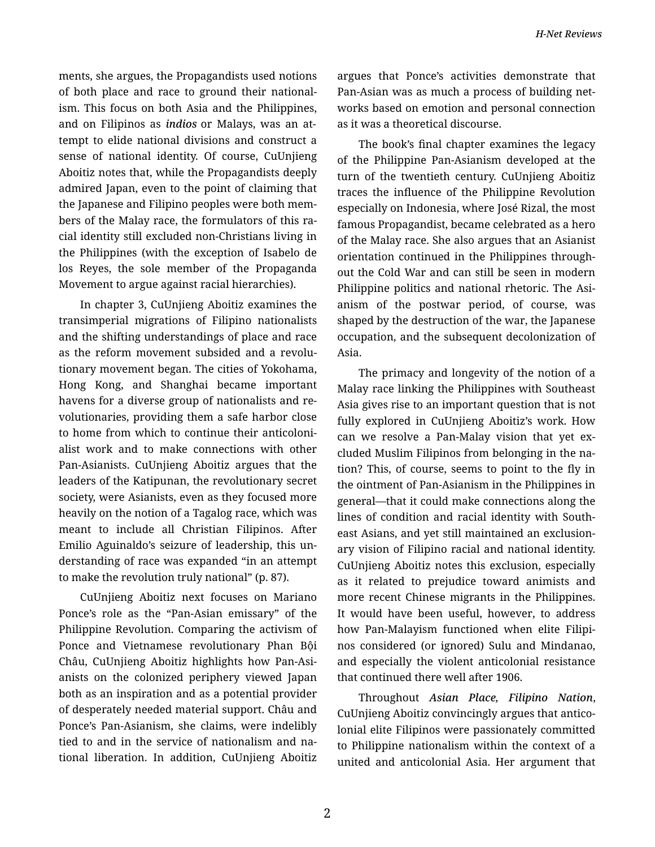ments, she argues, the Propagandists used notions of both place and race to ground their national‐ ism. This focus on both Asia and the Philippines, and on Filipinos as *indios* or Malays, was an at‐ tempt to elide national divisions and construct a sense of national identity. Of course, CuUnjieng Aboitiz notes that, while the Propagandists deeply admired Japan, even to the point of claiming that the Japanese and Filipino peoples were both mem‐ bers of the Malay race, the formulators of this ra‐ cial identity still excluded non-Christians living in the Philippines (with the exception of Isabelo de los Reyes, the sole member of the Propaganda Movement to argue against racial hierarchies).

In chapter 3, CuUnjieng Aboitiz examines the transimperial migrations of Filipino nationalists and the shifting understandings of place and race as the reform movement subsided and a revolu‐ tionary movement began. The cities of Yokohama, Hong Kong, and Shanghai became important havens for a diverse group of nationalists and re‐ volutionaries, providing them a safe harbor close to home from which to continue their anticoloni‐ alist work and to make connections with other Pan-Asianists. CuUnjieng Aboitiz argues that the leaders of the Katipunan, the revolutionary secret society, were Asianists, even as they focused more heavily on the notion of a Tagalog race, which was meant to include all Christian Filipinos. After Emilio Aguinaldo's seizure of leadership, this un‐ derstanding of race was expanded "in an attempt to make the revolution truly national" (p. 87).

CuUnjieng Aboitiz next focuses on Mariano Ponce's role as the "Pan-Asian emissary" of the Philippine Revolution. Comparing the activism of Ponce and Vietnamese revolutionary Phan Bội Châu, CuUnjieng Aboitiz highlights how Pan-Asi‐ anists on the colonized periphery viewed Japan both as an inspiration and as a potential provider of desperately needed material support. Châu and Ponce's Pan-Asianism, she claims, were indelibly tied to and in the service of nationalism and na‐ tional liberation. In addition, CuUnjieng Aboitiz argues that Ponce's activities demonstrate that Pan-Asian was as much a process of building net‐ works based on emotion and personal connection as it was a theoretical discourse.

The book's final chapter examines the legacy of the Philippine Pan-Asianism developed at the turn of the twentieth century. CuUnjieng Aboitiz traces the influence of the Philippine Revolution especially on Indonesia, where José Rizal, the most famous Propagandist, became celebrated as a hero of the Malay race. She also argues that an Asianist orientation continued in the Philippines through‐ out the Cold War and can still be seen in modern Philippine politics and national rhetoric. The Asi‐ anism of the postwar period, of course, was shaped by the destruction of the war, the Japanese occupation, and the subsequent decolonization of Asia.

The primacy and longevity of the notion of a Malay race linking the Philippines with Southeast Asia gives rise to an important question that is not fully explored in CuUnjieng Aboitiz's work. How can we resolve a Pan-Malay vision that yet excluded Muslim Filipinos from belonging in the na‐ tion? This, of course, seems to point to the fly in the ointment of Pan-Asianism in the Philippines in general—that it could make connections along the lines of condition and racial identity with South‐ east Asians, and yet still maintained an exclusion‐ ary vision of Filipino racial and national identity. CuUnjieng Aboitiz notes this exclusion, especially as it related to prejudice toward animists and more recent Chinese migrants in the Philippines. It would have been useful, however, to address how Pan-Malayism functioned when elite Filipi‐ nos considered (or ignored) Sulu and Mindanao, and especially the violent anticolonial resistance that continued there well after 1906.

Throughout *Asian Place, Filipino Nation*, CuUnjieng Aboitiz convincingly argues that antico‐ lonial elite Filipinos were passionately committed to Philippine nationalism within the context of a united and anticolonial Asia. Her argument that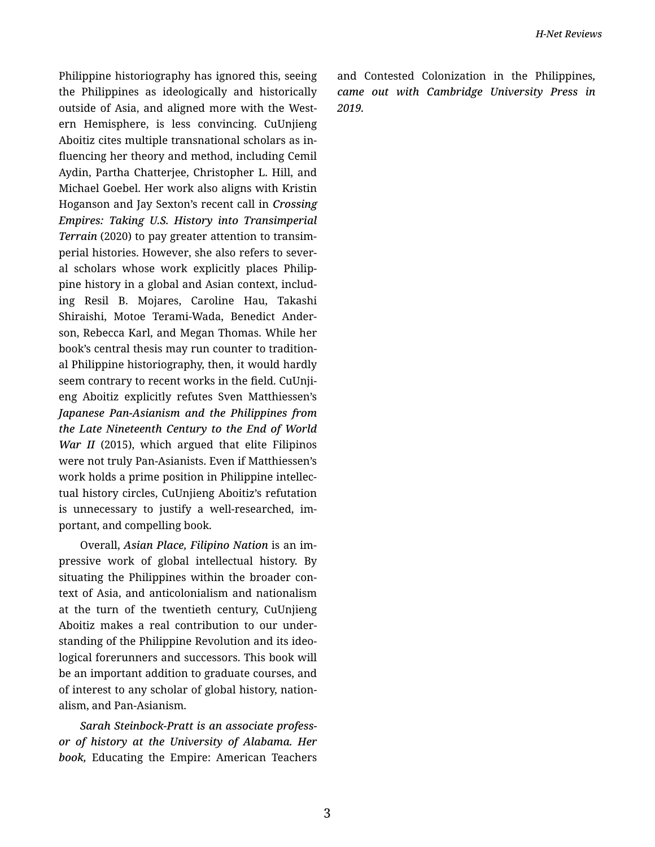Philippine historiography has ignored this, seeing the Philippines as ideologically and historically outside of Asia, and aligned more with the West‐ ern Hemisphere, is less convincing. CuUnjieng Aboitiz cites multiple transnational scholars as in‐ fluencing her theory and method, including Cemil Aydin, Partha Chatterjee, Christopher L. Hill, and Michael Goebel. Her work also aligns with Kristin Hoganson and Jay Sexton's recent call in *Crossing Empires: Taking U.S. History into Transimperial Terrain* (2020) to pay greater attention to transim‐ perial histories. However, she also refers to several scholars whose work explicitly places Philip‐ pine history in a global and Asian context, includ‐ ing Resil B. Mojares, Caroline Hau, Takashi Shiraishi, Motoe Terami-Wada, Benedict Ander‐ son, Rebecca Karl, and Megan Thomas. While her book's central thesis may run counter to tradition‐ al Philippine historiography, then, it would hardly seem contrary to recent works in the field. CuUnjieng Aboitiz explicitly refutes Sven Matthiessen's *Japanese Pan-Asianism and the Philippines from the Late Nineteenth Century to the End of World War II* (2015), which argued that elite Filipinos were not truly Pan-Asianists. Even if Matthiessen's work holds a prime position in Philippine intellec‐ tual history circles, CuUnjieng Aboitiz's refutation is unnecessary to justify a well-researched, im‐ portant, and compelling book.

Overall, *Asian Place, Filipino Nation* is an im‐ pressive work of global intellectual history. By situating the Philippines within the broader con‐ text of Asia, and anticolonialism and nationalism at the turn of the twentieth century, CuUnjieng Aboitiz makes a real contribution to our under‐ standing of the Philippine Revolution and its ideo‐ logical forerunners and successors. This book will be an important addition to graduate courses, and of interest to any scholar of global history, nation‐ alism, and Pan-Asianism.

*Sarah Steinbock-Pratt is an associate profess‐ or of history at the University of Alabama. Her book,* Educating the Empire: American Teachers and Contested Colonization in the Philippines*, came out with Cambridge University Press in 2019.*